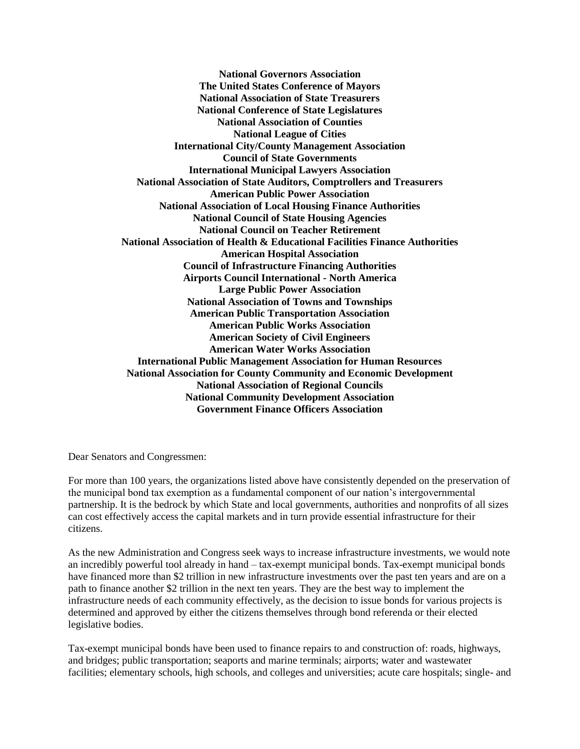**National Governors Association The United States Conference of Mayors National Association of State Treasurers National Conference of State Legislatures National Association of Counties National League of Cities International City/County Management Association Council of State Governments International Municipal Lawyers Association National Association of State Auditors, Comptrollers and Treasurers American Public Power Association National Association of Local Housing Finance Authorities National Council of State Housing Agencies National Council on Teacher Retirement National Association of Health & Educational Facilities Finance Authorities American Hospital Association Council of Infrastructure Financing Authorities Airports Council International - North America Large Public Power Association National Association of Towns and Townships American Public Transportation Association American Public Works Association American Society of Civil Engineers American Water Works Association International Public Management Association for Human Resources National Association for County Community and Economic Development National Association of Regional Councils National Community Development Association Government Finance Officers Association**

Dear Senators and Congressmen:

For more than 100 years, the organizations listed above have consistently depended on the preservation of the municipal bond tax exemption as a fundamental component of our nation's intergovernmental partnership. It is the bedrock by which State and local governments, authorities and nonprofits of all sizes can cost effectively access the capital markets and in turn provide essential infrastructure for their citizens.

As the new Administration and Congress seek ways to increase infrastructure investments, we would note an incredibly powerful tool already in hand – tax-exempt municipal bonds. Tax-exempt municipal bonds have financed more than \$2 trillion in new infrastructure investments over the past ten years and are on a path to finance another \$2 trillion in the next ten years. They are the best way to implement the infrastructure needs of each community effectively, as the decision to issue bonds for various projects is determined and approved by either the citizens themselves through bond referenda or their elected legislative bodies.

Tax-exempt municipal bonds have been used to finance repairs to and construction of: roads, highways, and bridges; public transportation; seaports and marine terminals; airports; water and wastewater facilities; elementary schools, high schools, and colleges and universities; acute care hospitals; single- and